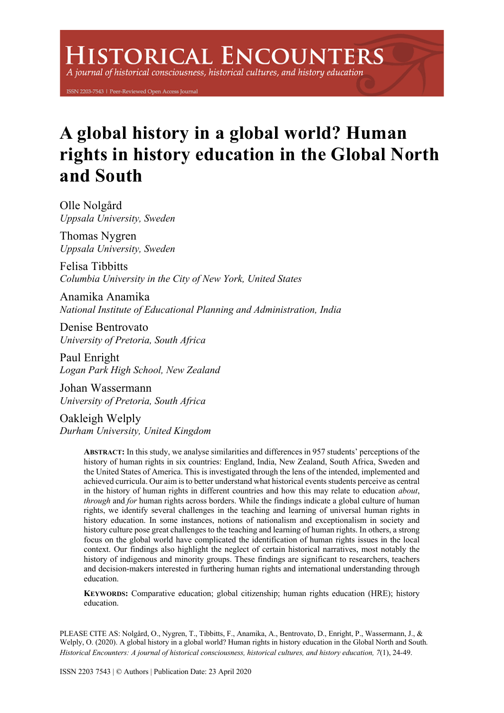# **ISTORICAL ENCOUNTERS**

A journal of historical consciousness, historical cultures, and history education

ISSN 2203-7543 | Peer-Reviewed Open Access Journal

## **A global history in a global world? Human rights in history education in the Global North and South**

Olle Nolgård *Uppsala University, Sweden*

Thomas Nygren *Uppsala University, Sweden*

Felisa Tibbitts *Columbia University in the City of New York, United States*

Anamika Anamika *National Institute of Educational Planning and Administration, India*

Denise Bentrovato *University of Pretoria, South Africa*

Paul Enright *Logan Park High School, New Zealand*

Johan Wassermann *University of Pretoria, South Africa*

Oakleigh Welply *Durham University, United Kingdom*

> **ABSTRACT:** In this study, we analyse similarities and differences in 957 students' perceptions of the history of human rights in six countries: England, India, New Zealand, South Africa, Sweden and the United States of America. This is investigated through the lens of the intended, implemented and achieved curricula. Our aim is to better understand what historical events students perceive as central in the history of human rights in different countries and how this may relate to education *about*, *through* and *for* human rights across borders. While the findings indicate a global culture of human rights, we identify several challenges in the teaching and learning of universal human rights in history education. In some instances, notions of nationalism and exceptionalism in society and history culture pose great challenges to the teaching and learning of human rights. In others, a strong focus on the global world have complicated the identification of human rights issues in the local context. Our findings also highlight the neglect of certain historical narratives, most notably the history of indigenous and minority groups. These findings are significant to researchers, teachers and decision-makers interested in furthering human rights and international understanding through education.

> **KEYWORDS:** Comparative education; global citizenship; human rights education (HRE); history education.

PLEASE CITE AS: Nolgård, O., Nygren, T., Tibbitts, F., Anamika, A., Bentrovato, D., Enright, P., Wassermann, J., & Welply, O. (2020). A global history in a global world? Human rights in history education in the Global North and South. *Historical Encounters: A journal of historical consciousness, historical cultures, and history education, 7*(1), 24-49.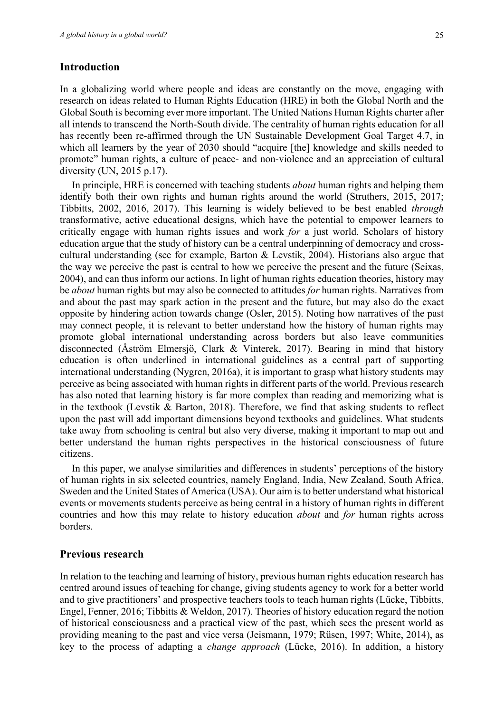## **Introduction**

In a globalizing world where people and ideas are constantly on the move, engaging with research on ideas related to Human Rights Education (HRE) in both the Global North and the Global South is becoming ever more important. The United Nations Human Rights charter after all intends to transcend the North-South divide. The centrality of human rights education for all has recently been re-affirmed through the UN Sustainable Development Goal Target 4.7, in which all learners by the year of 2030 should "acquire [the] knowledge and skills needed to promote" human rights, a culture of peace- and non-violence and an appreciation of cultural diversity (UN, 2015 p.17).

In principle, HRE is concerned with teaching students *about* human rights and helping them identify both their own rights and human rights around the world (Struthers, 2015, 2017; Tibbitts, 2002, 2016, 2017). This learning is widely believed to be best enabled *through*  transformative, active educational designs, which have the potential to empower learners to critically engage with human rights issues and work *for* a just world. Scholars of history education argue that the study of history can be a central underpinning of democracy and crosscultural understanding (see for example, Barton & Levstik, 2004). Historians also argue that the way we perceive the past is central to how we perceive the present and the future (Seixas, 2004), and can thus inform our actions. In light of human rights education theories, history may be *about* human rights but may also be connected to attitudes *for* human rights. Narratives from and about the past may spark action in the present and the future, but may also do the exact opposite by hindering action towards change (Osler, 2015). Noting how narratives of the past may connect people, it is relevant to better understand how the history of human rights may promote global international understanding across borders but also leave communities disconnected (Åström Elmersjö, Clark & Vinterek, 2017). Bearing in mind that history education is often underlined in international guidelines as a central part of supporting international understanding (Nygren, 2016a), it is important to grasp what history students may perceive as being associated with human rights in different parts of the world. Previous research has also noted that learning history is far more complex than reading and memorizing what is in the textbook (Levstik & Barton, 2018). Therefore, we find that asking students to reflect upon the past will add important dimensions beyond textbooks and guidelines. What students take away from schooling is central but also very diverse, making it important to map out and better understand the human rights perspectives in the historical consciousness of future citizens.

In this paper, we analyse similarities and differences in students' perceptions of the history of human rights in six selected countries, namely England, India, New Zealand, South Africa, Sweden and the United States of America (USA). Our aim is to better understand what historical events or movements students perceive as being central in a history of human rights in different countries and how this may relate to history education *about* and *for* human rights across borders.

## **Previous research**

In relation to the teaching and learning of history, previous human rights education research has centred around issues of teaching for change, giving students agency to work for a better world and to give practitioners' and prospective teachers tools to teach human rights (Lücke, Tibbitts, Engel, Fenner, 2016; Tibbitts & Weldon, 2017). Theories of history education regard the notion of historical consciousness and a practical view of the past, which sees the present world as providing meaning to the past and vice versa (Jeismann, 1979; Rüsen, 1997; White, 2014), as key to the process of adapting a *change approach* (Lücke, 2016). In addition, a history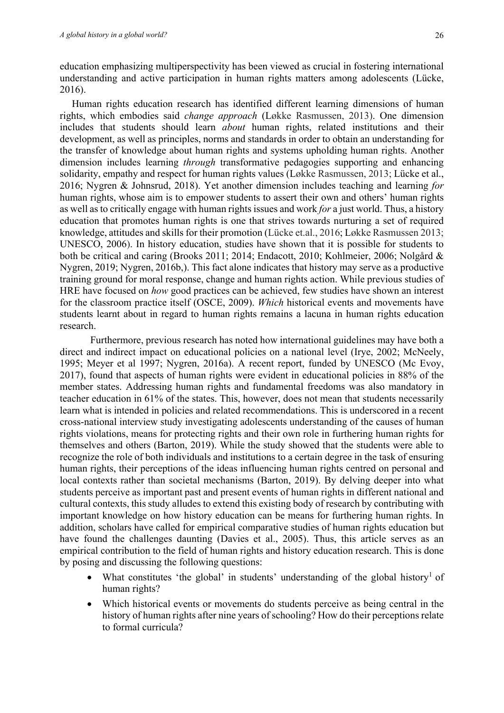education emphasizing multiperspectivity has been viewed as crucial in fostering international understanding and active participation in human rights matters among adolescents (Lücke, 2016).

Human rights education research has identified different learning dimensions of human rights, which embodies said *change approach* (Løkke Rasmussen, 2013). One dimension includes that students should learn *about* human rights, related institutions and their development, as well as principles, norms and standards in order to obtain an understanding for the transfer of knowledge about human rights and systems upholding human rights. Another dimension includes learning *through* transformative pedagogies supporting and enhancing solidarity, empathy and respect for human rights values (Løkke Rasmussen, 2013; Lücke et al., 2016; Nygren & Johnsrud, 2018). Yet another dimension includes teaching and learning *for*  human rights, whose aim is to empower students to assert their own and others' human rights as well as to critically engage with human rights issues and work *for* a just world. Thus, a history education that promotes human rights is one that strives towards nurturing a set of required knowledge, attitudes and skills for their promotion (Lücke et.al., 2016; Løkke Rasmussen 2013; UNESCO, 2006). In history education, studies have shown that it is possible for students to both be critical and caring (Brooks 2011; 2014; Endacott, 2010; Kohlmeier, 2006; Nolgård & Nygren, 2019; Nygren, 2016b,). This fact alone indicates that history may serve as a productive training ground for moral response, change and human rights action. While previous studies of HRE have focused on *how* good practices can be achieved, few studies have shown an interest for the classroom practice itself (OSCE, 2009). *Which* historical events and movements have students learnt about in regard to human rights remains a lacuna in human rights education research.

Furthermore, previous research has noted how international guidelines may have both a direct and indirect impact on educational policies on a national level (Irye, 2002; McNeely, 1995; Meyer et al 1997; Nygren, 2016a). A recent report, funded by UNESCO (Mc Evoy, 2017), found that aspects of human rights were evident in educational policies in 88% of the member states. Addressing human rights and fundamental freedoms was also mandatory in teacher education in 61% of the states. This, however, does not mean that students necessarily learn what is intended in policies and related recommendations. This is underscored in a recent cross-national interview study investigating adolescents understanding of the causes of human rights violations, means for protecting rights and their own role in furthering human rights for themselves and others (Barton, 2019). While the study showed that the students were able to recognize the role of both individuals and institutions to a certain degree in the task of ensuring human rights, their perceptions of the ideas influencing human rights centred on personal and local contexts rather than societal mechanisms (Barton, 2019). By delving deeper into what students perceive as important past and present events of human rights in different national and cultural contexts, this study alludes to extend this existing body of research by contributing with important knowledge on how history education can be means for furthering human rights. In addition, scholars have called for empirical comparative studies of human rights education but have found the challenges daunting (Davies et al., 2005). Thus, this article serves as an empirical contribution to the field of human rights and history education research. This is done by posing and discussing the following questions:

- What constitutes 'the global' in students' understanding of the global history<sup>1</sup> of human rights?
- Which historical events or movements do students perceive as being central in the history of human rights after nine years of schooling? How do their perceptions relate to formal curricula?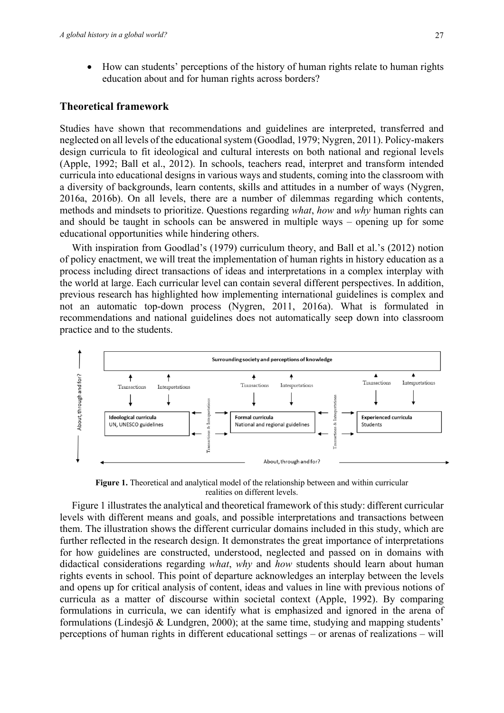• How can students' perceptions of the history of human rights relate to human rights education about and for human rights across borders?

## **Theoretical framework**

Studies have shown that recommendations and guidelines are interpreted, transferred and neglected on all levels of the educational system (Goodlad, 1979; Nygren, 2011). Policy-makers design curricula to fit ideological and cultural interests on both national and regional levels (Apple, 1992; Ball et al., 2012). In schools, teachers read, interpret and transform intended curricula into educational designs in various ways and students, coming into the classroom with a diversity of backgrounds, learn contents, skills and attitudes in a number of ways (Nygren, 2016a, 2016b). On all levels, there are a number of dilemmas regarding which contents, methods and mindsets to prioritize. Questions regarding *what*, *how* and *why* human rights can and should be taught in schools can be answered in multiple ways – opening up for some educational opportunities while hindering others.

With inspiration from Goodlad's (1979) curriculum theory, and Ball et al.'s (2012) notion of policy enactment, we will treat the implementation of human rights in history education as a process including direct transactions of ideas and interpretations in a complex interplay with the world at large. Each curricular level can contain several different perspectives. In addition, previous research has highlighted how implementing international guidelines is complex and not an automatic top-down process (Nygren, 2011, 2016a). What is formulated in recommendations and national guidelines does not automatically seep down into classroom practice and to the students.



**Figure 1.** Theoretical and analytical model of the relationship between and within curricular realities on different levels.

Figure 1 illustrates the analytical and theoretical framework of this study: different curricular levels with different means and goals, and possible interpretations and transactions between them. The illustration shows the different curricular domains included in this study, which are further reflected in the research design. It demonstrates the great importance of interpretations for how guidelines are constructed, understood, neglected and passed on in domains with didactical considerations regarding *what*, *why* and *how* students should learn about human rights events in school. This point of departure acknowledges an interplay between the levels and opens up for critical analysis of content, ideas and values in line with previous notions of curricula as a matter of discourse within societal context (Apple, 1992). By comparing formulations in curricula, we can identify what is emphasized and ignored in the arena of formulations (Lindesjö & Lundgren, 2000); at the same time, studying and mapping students' perceptions of human rights in different educational settings – or arenas of realizations – will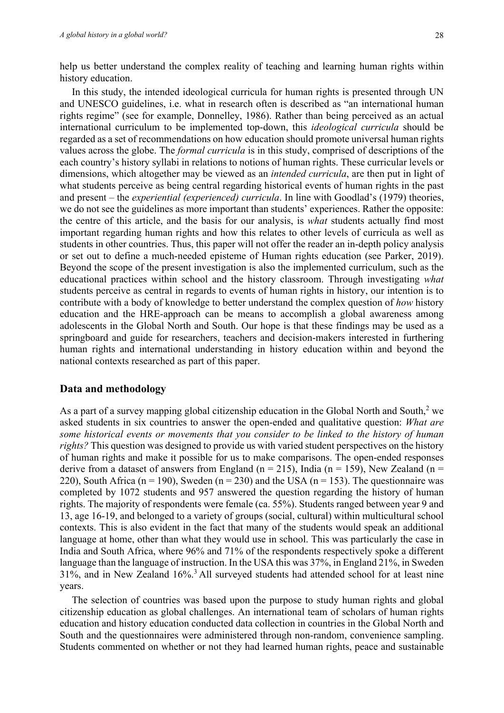help us better understand the complex reality of teaching and learning human rights within history education.

In this study, the intended ideological curricula for human rights is presented through UN and UNESCO guidelines, i.e. what in research often is described as "an international human rights regime" (see for example, Donnelley, 1986). Rather than being perceived as an actual international curriculum to be implemented top-down, this *ideological curricula* should be regarded as a set of recommendations on how education should promote universal human rights values across the globe. The *formal curricula* is in this study, comprised of descriptions of the each country's history syllabi in relations to notions of human rights. These curricular levels or dimensions, which altogether may be viewed as an *intended curricula*, are then put in light of what students perceive as being central regarding historical events of human rights in the past and present – the *experiential (experienced) curricula*. In line with Goodlad's (1979) theories, we do not see the guidelines as more important than students' experiences. Rather the opposite: the centre of this article, and the basis for our analysis, is *what* students actually find most important regarding human rights and how this relates to other levels of curricula as well as students in other countries. Thus, this paper will not offer the reader an in-depth policy analysis or set out to define a much-needed episteme of Human rights education (see Parker, 2019). Beyond the scope of the present investigation is also the implemented curriculum, such as the educational practices within school and the history classroom. Through investigating *what*  students perceive as central in regards to events of human rights in history, our intention is to contribute with a body of knowledge to better understand the complex question of *how* history education and the HRE-approach can be means to accomplish a global awareness among adolescents in the Global North and South. Our hope is that these findings may be used as a springboard and guide for researchers, teachers and decision-makers interested in furthering human rights and international understanding in history education within and beyond the national contexts researched as part of this paper.

## **Data and methodology**

As a part of a survey mapping global citizenship education in the Global North and South,<sup>2</sup> we asked students in six countries to answer the open-ended and qualitative question: *What are some historical events or movements that you consider to be linked to the history of human rights?* This question was designed to provide us with varied student perspectives on the history of human rights and make it possible for us to make comparisons. The open-ended responses derive from a dataset of answers from England (n = 215), India (n = 159), New Zealand (n = 220), South Africa (n = 190), Sweden (n = 230) and the USA (n = 153). The questionnaire was completed by 1072 students and 957 answered the question regarding the history of human rights. The majority of respondents were female (ca. 55%). Students ranged between year 9 and 13, age 16-19, and belonged to a variety of groups (social, cultural) within multicultural school contexts. This is also evident in the fact that many of the students would speak an additional language at home, other than what they would use in school. This was particularly the case in India and South Africa, where 96% and 71% of the respondents respectively spoke a different language than the language of instruction. In the USA this was 37%, in England 21%, in Sweden 31%, and in New Zealand 16%.3 All surveyed students had attended school for at least nine years.

The selection of countries was based upon the purpose to study human rights and global citizenship education as global challenges. An international team of scholars of human rights education and history education conducted data collection in countries in the Global North and South and the questionnaires were administered through non-random, convenience sampling. Students commented on whether or not they had learned human rights, peace and sustainable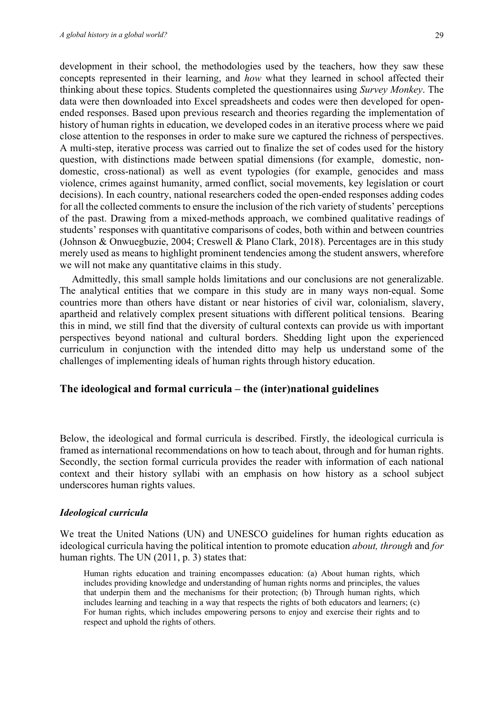development in their school, the methodologies used by the teachers, how they saw these concepts represented in their learning, and *how* what they learned in school affected their thinking about these topics. Students completed the questionnaires using *Survey Monkey*. The data were then downloaded into Excel spreadsheets and codes were then developed for openended responses. Based upon previous research and theories regarding the implementation of history of human rights in education, we developed codes in an iterative process where we paid close attention to the responses in order to make sure we captured the richness of perspectives. A multi-step, iterative process was carried out to finalize the set of codes used for the history question, with distinctions made between spatial dimensions (for example, domestic, nondomestic, cross-national) as well as event typologies (for example, genocides and mass violence, crimes against humanity, armed conflict, social movements, key legislation or court decisions). In each country, national researchers coded the open-ended responses adding codes for all the collected comments to ensure the inclusion of the rich variety of students' perceptions of the past. Drawing from a mixed-methods approach, we combined qualitative readings of students' responses with quantitative comparisons of codes, both within and between countries (Johnson & Onwuegbuzie, 2004; Creswell & Plano Clark, 2018). Percentages are in this study merely used as means to highlight prominent tendencies among the student answers, wherefore we will not make any quantitative claims in this study.

Admittedly, this small sample holds limitations and our conclusions are not generalizable. The analytical entities that we compare in this study are in many ways non-equal. Some countries more than others have distant or near histories of civil war, colonialism, slavery, apartheid and relatively complex present situations with different political tensions. Bearing this in mind, we still find that the diversity of cultural contexts can provide us with important perspectives beyond national and cultural borders. Shedding light upon the experienced curriculum in conjunction with the intended ditto may help us understand some of the challenges of implementing ideals of human rights through history education.

## **The ideological and formal curricula – the (inter)national guidelines**

Below, the ideological and formal curricula is described. Firstly, the ideological curricula is framed as international recommendations on how to teach about, through and for human rights. Secondly, the section formal curricula provides the reader with information of each national context and their history syllabi with an emphasis on how history as a school subject underscores human rights values.

#### *Ideological curricula*

We treat the United Nations (UN) and UNESCO guidelines for human rights education as ideological curricula having the political intention to promote education *about, through* and *for*  human rights. The UN (2011, p. 3) states that:

Human rights education and training encompasses education: (a) About human rights, which includes providing knowledge and understanding of human rights norms and principles, the values that underpin them and the mechanisms for their protection; (b) Through human rights, which includes learning and teaching in a way that respects the rights of both educators and learners; (c) For human rights, which includes empowering persons to enjoy and exercise their rights and to respect and uphold the rights of others.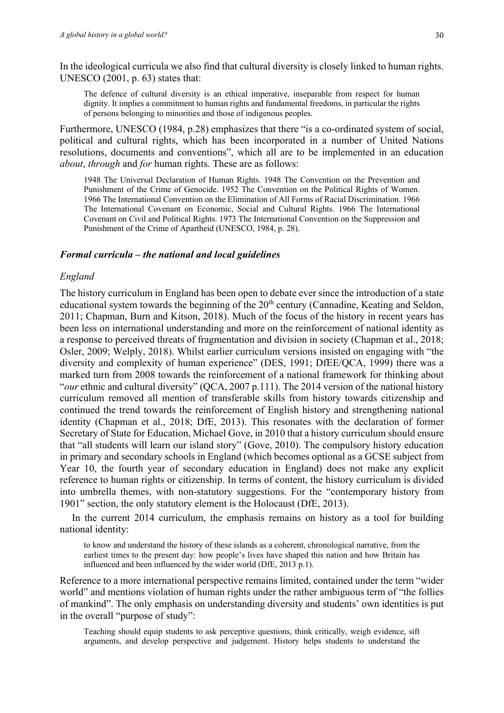In the ideological curricula we also find that cultural diversity is closely linked to human rights. UNESCO (2001, p. 63) states that:

The defence of cultural diversity is an ethical imperative, inseparable from respect for human dignity. It implies a commitment to human rights and fundamental freedoms, in particular the rights of persons belonging to minorities and those of indigenous peoples.

Furthermore, UNESCO (1984, p.28) emphasizes that there "is a co-ordinated system of social, political and cultural rights, which has been incorporated in a number of United Nations resolutions, documents and conventions", which all are to be implemented in an education *about*, *through* and *for* human rights. These are as follows:

1948 The Universal Declaration of Human Rights. 1948 The Convention on the Prevention and Punishment of the Crime of Genocide. 1952 The Convention on the Political Rights of Women. 1966 The International Convention on the Elimination of All Forms of Racial Discrimination. 1966 The International Covenant on Economic, Social and Cultural Rights. 1966 The International Covenant on Civil and Political Rights. 1973 The International Convention on the Suppression and Punishment of the Crime of Apartheid (UNESCO, 1984, p. 28).

## *Formal curricula – the national and local guidelines*

## *England*

The history curriculum in England has been open to debate ever since the introduction of a state educational system towards the beginning of the  $20<sup>th</sup>$  century (Cannadine, Keating and Seldon, 2011; Chapman, Burn and Kitson, 2018). Much of the focus of the history in recent years has been less on international understanding and more on the reinforcement of national identity as a response to perceived threats of fragmentation and division in society (Chapman et al., 2018; Osler, 2009; Welply, 2018). Whilst earlier curriculum versions insisted on engaging with "the diversity and complexity of human experience" (DES, 1991; DfEE/QCA, 1999) there was a marked turn from 2008 towards the reinforcement of a national framework for thinking about "*our* ethnic and cultural diversity" (QCA, 2007 p.111). The 2014 version of the national history curriculum removed all mention of transferable skills from history towards citizenship and continued the trend towards the reinforcement of English history and strengthening national identity (Chapman et al., 2018; DfE, 2013). This resonates with the declaration of former Secretary of State for Education, Michael Gove, in 2010 that a history curriculum should ensure that "all students will learn our island story" (Gove, 2010). The compulsory history education in primary and secondary schools in England (which becomes optional as a GCSE subject from Year 10, the fourth year of secondary education in England) does not make any explicit reference to human rights or citizenship. In terms of content, the history curriculum is divided into umbrella themes, with non-statutory suggestions. For the "contemporary history from 1901" section, the only statutory element is the Holocaust (DfE, 2013).

In the current 2014 curriculum, the emphasis remains on history as a tool for building national identity:

to know and understand the history of these islands as a coherent, chronological narrative, from the earliest times to the present day: how people's lives have shaped this nation and how Britain has influenced and been influenced by the wider world (DfE, 2013 p.1).

Reference to a more international perspective remains limited, contained under the term "wider world" and mentions violation of human rights under the rather ambiguous term of "the follies of mankind". The only emphasis on understanding diversity and students' own identities is put in the overall "purpose of study":

Teaching should equip students to ask perceptive questions, think critically, weigh evidence, sift arguments, and develop perspective and judgement. History helps students to understand the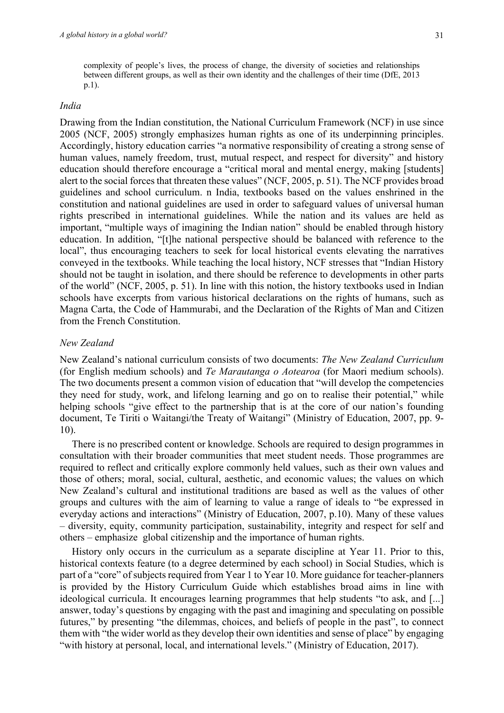complexity of people's lives, the process of change, the diversity of societies and relationships between different groups, as well as their own identity and the challenges of their time (DfE, 2013 p.1).

## *India*

Drawing from the Indian constitution, the National Curriculum Framework (NCF) in use since 2005 (NCF, 2005) strongly emphasizes human rights as one of its underpinning principles. Accordingly, history education carries "a normative responsibility of creating a strong sense of human values, namely freedom, trust, mutual respect, and respect for diversity" and history education should therefore encourage a "critical moral and mental energy, making [students] alert to the social forces that threaten these values" (NCF, 2005, p. 51). The NCF provides broad guidelines and school curriculum. n India, textbooks based on the values enshrined in the constitution and national guidelines are used in order to safeguard values of universal human rights prescribed in international guidelines. While the nation and its values are held as important, "multiple ways of imagining the Indian nation" should be enabled through history education. In addition, "[t]he national perspective should be balanced with reference to the local", thus encouraging teachers to seek for local historical events elevating the narratives conveyed in the textbooks. While teaching the local history, NCF stresses that "Indian History should not be taught in isolation, and there should be reference to developments in other parts of the world" (NCF, 2005, p. 51). In line with this notion, the history textbooks used in Indian schools have excerpts from various historical declarations on the rights of humans, such as Magna Carta, the Code of Hammurabi, and the Declaration of the Rights of Man and Citizen from the French Constitution.

## *New Zealand*

New Zealand's national curriculum consists of two documents: *The New Zealand Curriculum* (for English medium schools) and *Te Marautanga o Aotearoa* (for Maori medium schools). The two documents present a common vision of education that "will develop the competencies they need for study, work, and lifelong learning and go on to realise their potential," while helping schools "give effect to the partnership that is at the core of our nation's founding document, Te Tiriti o Waitangi/the Treaty of Waitangi" (Ministry of Education, 2007, pp. 9- 10).

There is no prescribed content or knowledge. Schools are required to design programmes in consultation with their broader communities that meet student needs. Those programmes are required to reflect and critically explore commonly held values, such as their own values and those of others; moral, social, cultural, aesthetic, and economic values; the values on which New Zealand's cultural and institutional traditions are based as well as the values of other groups and cultures with the aim of learning to value a range of ideals to "be expressed in everyday actions and interactions" (Ministry of Education, 2007, p.10). Many of these values – diversity, equity, community participation, sustainability, integrity and respect for self and others – emphasize global citizenship and the importance of human rights.

History only occurs in the curriculum as a separate discipline at Year 11. Prior to this, historical contexts feature (to a degree determined by each school) in Social Studies, which is part of a "core" of subjects required from Year 1 to Year 10. More guidance for teacher-planners is provided by the History Curriculum Guide which establishes broad aims in line with ideological curricula. It encourages learning programmes that help students "to ask, and [...] answer, today's questions by engaging with the past and imagining and speculating on possible futures," by presenting "the dilemmas, choices, and beliefs of people in the past", to connect them with "the wider world as they develop their own identities and sense of place" by engaging "with history at personal, local, and international levels." (Ministry of Education, 2017).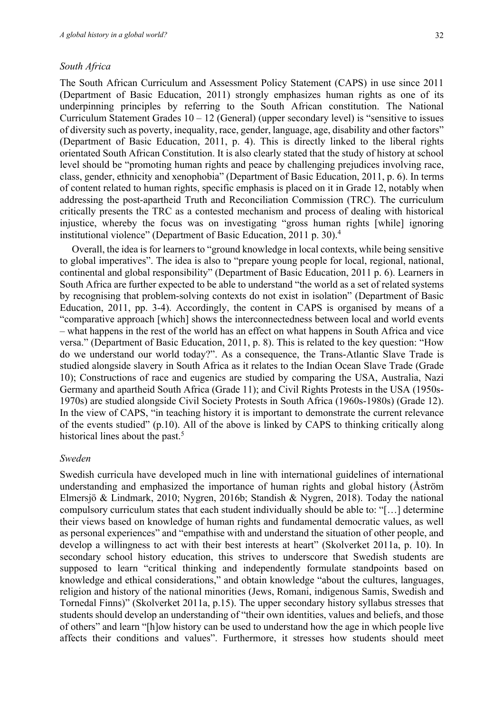#### *South Africa*

The South African Curriculum and Assessment Policy Statement (CAPS) in use since 2011 (Department of Basic Education, 2011) strongly emphasizes human rights as one of its underpinning principles by referring to the South African constitution. The National Curriculum Statement Grades  $10 - 12$  (General) (upper secondary level) is "sensitive to issues of diversity such as poverty, inequality, race, gender, language, age, disability and other factors" (Department of Basic Education, 2011, p. 4). This is directly linked to the liberal rights orientated South African Constitution. It is also clearly stated that the study of history at school level should be "promoting human rights and peace by challenging prejudices involving race, class, gender, ethnicity and xenophobia" (Department of Basic Education, 2011, p. 6). In terms of content related to human rights, specific emphasis is placed on it in Grade 12, notably when addressing the post-apartheid Truth and Reconciliation Commission (TRC). The curriculum critically presents the TRC as a contested mechanism and process of dealing with historical injustice, whereby the focus was on investigating "gross human rights [while] ignoring institutional violence" (Department of Basic Education, 2011 p. 30).4

Overall, the idea is for learners to "ground knowledge in local contexts, while being sensitive to global imperatives". The idea is also to "prepare young people for local, regional, national, continental and global responsibility" (Department of Basic Education, 2011 p. 6). Learners in South Africa are further expected to be able to understand "the world as a set of related systems by recognising that problem-solving contexts do not exist in isolation" (Department of Basic Education, 2011, pp. 3-4). Accordingly, the content in CAPS is organised by means of a "comparative approach [which] shows the interconnectedness between local and world events – what happens in the rest of the world has an effect on what happens in South Africa and vice versa." (Department of Basic Education, 2011, p. 8). This is related to the key question: "How do we understand our world today?". As a consequence, the Trans-Atlantic Slave Trade is studied alongside slavery in South Africa as it relates to the Indian Ocean Slave Trade (Grade 10); Constructions of race and eugenics are studied by comparing the USA, Australia, Nazi Germany and apartheid South Africa (Grade 11); and Civil Rights Protests in the USA (1950s-1970s) are studied alongside Civil Society Protests in South Africa (1960s-1980s) (Grade 12). In the view of CAPS, "in teaching history it is important to demonstrate the current relevance of the events studied" (p.10). All of the above is linked by CAPS to thinking critically along historical lines about the past.<sup>5</sup>

#### *Sweden*

Swedish curricula have developed much in line with international guidelines of international understanding and emphasized the importance of human rights and global history (Åström Elmersjö & Lindmark, 2010; Nygren, 2016b; Standish & Nygren, 2018). Today the national compulsory curriculum states that each student individually should be able to: "[…] determine their views based on knowledge of human rights and fundamental democratic values, as well as personal experiences" and "empathise with and understand the situation of other people, and develop a willingness to act with their best interests at heart" (Skolverket 2011a, p. 10). In secondary school history education, this strives to underscore that Swedish students are supposed to learn "critical thinking and independently formulate standpoints based on knowledge and ethical considerations," and obtain knowledge "about the cultures, languages, religion and history of the national minorities (Jews, Romani, indigenous Samis, Swedish and Tornedal Finns)" (Skolverket 2011a, p.15). The upper secondary history syllabus stresses that students should develop an understanding of "their own identities, values and beliefs, and those of others" and learn "[h]ow history can be used to understand how the age in which people live affects their conditions and values". Furthermore, it stresses how students should meet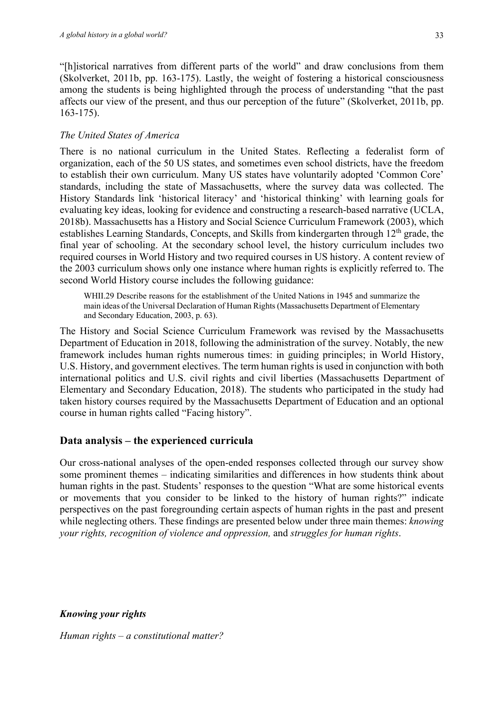"[h]istorical narratives from different parts of the world" and draw conclusions from them (Skolverket, 2011b, pp. 163-175). Lastly, the weight of fostering a historical consciousness among the students is being highlighted through the process of understanding "that the past affects our view of the present, and thus our perception of the future" (Skolverket, 2011b, pp. 163-175).

## *The United States of America*

There is no national curriculum in the United States. Reflecting a federalist form of organization, each of the 50 US states, and sometimes even school districts, have the freedom to establish their own curriculum. Many US states have voluntarily adopted 'Common Core' standards, including the state of Massachusetts, where the survey data was collected. The History Standards link 'historical literacy' and 'historical thinking' with learning goals for evaluating key ideas, looking for evidence and constructing a research-based narrative (UCLA, 2018b). Massachusetts has a History and Social Science Curriculum Framework (2003), which establishes Learning Standards, Concepts, and Skills from kindergarten through  $12<sup>th</sup>$  grade, the final year of schooling. At the secondary school level, the history curriculum includes two required courses in World History and two required courses in US history. A content review of the 2003 curriculum shows only one instance where human rights is explicitly referred to. The second World History course includes the following guidance:

WHII.29 Describe reasons for the establishment of the United Nations in 1945 and summarize the main ideas of the Universal Declaration of Human Rights (Massachusetts Department of Elementary and Secondary Education, 2003, p. 63).

The History and Social Science Curriculum Framework was revised by the Massachusetts Department of Education in 2018, following the administration of the survey. Notably, the new framework includes human rights numerous times: in guiding principles; in World History, U.S. History, and government electives. The term human rights is used in conjunction with both international politics and U.S. civil rights and civil liberties (Massachusetts Department of Elementary and Secondary Education, 2018). The students who participated in the study had taken history courses required by the Massachusetts Department of Education and an optional course in human rights called "Facing history".

## **Data analysis – the experienced curricula**

Our cross-national analyses of the open-ended responses collected through our survey show some prominent themes – indicating similarities and differences in how students think about human rights in the past. Students' responses to the question "What are some historical events or movements that you consider to be linked to the history of human rights?" indicate perspectives on the past foregrounding certain aspects of human rights in the past and present while neglecting others. These findings are presented below under three main themes: *knowing your rights, recognition of violence and oppression,* and *struggles for human rights*.

*Knowing your rights*

*Human rights – a constitutional matter?*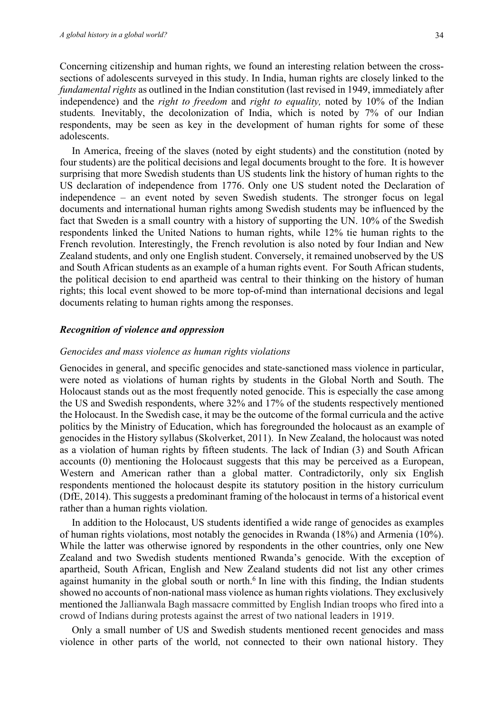Concerning citizenship and human rights, we found an interesting relation between the crosssections of adolescents surveyed in this study. In India, human rights are closely linked to the *fundamental rights* as outlined in the Indian constitution (last revised in 1949, immediately after independence) and the *right to freedom* and *right to equality,* noted by 10% of the Indian students*.* Inevitably, the decolonization of India, which is noted by 7% of our Indian respondents, may be seen as key in the development of human rights for some of these adolescents.

In America, freeing of the slaves (noted by eight students) and the constitution (noted by four students) are the political decisions and legal documents brought to the fore. It is however surprising that more Swedish students than US students link the history of human rights to the US declaration of independence from 1776. Only one US student noted the Declaration of independence – an event noted by seven Swedish students. The stronger focus on legal documents and international human rights among Swedish students may be influenced by the fact that Sweden is a small country with a history of supporting the UN. 10% of the Swedish respondents linked the United Nations to human rights, while 12% tie human rights to the French revolution. Interestingly, the French revolution is also noted by four Indian and New Zealand students, and only one English student. Conversely, it remained unobserved by the US and South African students as an example of a human rights event. For South African students, the political decision to end apartheid was central to their thinking on the history of human rights; this local event showed to be more top-of-mind than international decisions and legal documents relating to human rights among the responses.

#### *Recognition of violence and oppression*

#### *Genocides and mass violence as human rights violations*

Genocides in general, and specific genocides and state-sanctioned mass violence in particular, were noted as violations of human rights by students in the Global North and South. The Holocaust stands out as the most frequently noted genocide. This is especially the case among the US and Swedish respondents, where 32% and 17% of the students respectively mentioned the Holocaust. In the Swedish case, it may be the outcome of the formal curricula and the active politics by the Ministry of Education, which has foregrounded the holocaust as an example of genocides in the History syllabus (Skolverket, 2011). In New Zealand, the holocaust was noted as a violation of human rights by fifteen students. The lack of Indian (3) and South African accounts (0) mentioning the Holocaust suggests that this may be perceived as a European, Western and American rather than a global matter. Contradictorily, only six English respondents mentioned the holocaust despite its statutory position in the history curriculum (DfE, 2014). This suggests a predominant framing of the holocaust in terms of a historical event rather than a human rights violation.

In addition to the Holocaust, US students identified a wide range of genocides as examples of human rights violations, most notably the genocides in Rwanda (18%) and Armenia (10%). While the latter was otherwise ignored by respondents in the other countries, only one New Zealand and two Swedish students mentioned Rwanda's genocide. With the exception of apartheid, South African, English and New Zealand students did not list any other crimes against humanity in the global south or north.<sup>6</sup> In line with this finding, the Indian students showed no accounts of non-national mass violence as human rights violations. They exclusively mentioned the Jallianwala Bagh massacre committed by English Indian troops who fired into a crowd of Indians during protests against the arrest of two national leaders in 1919.

Only a small number of US and Swedish students mentioned recent genocides and mass violence in other parts of the world, not connected to their own national history. They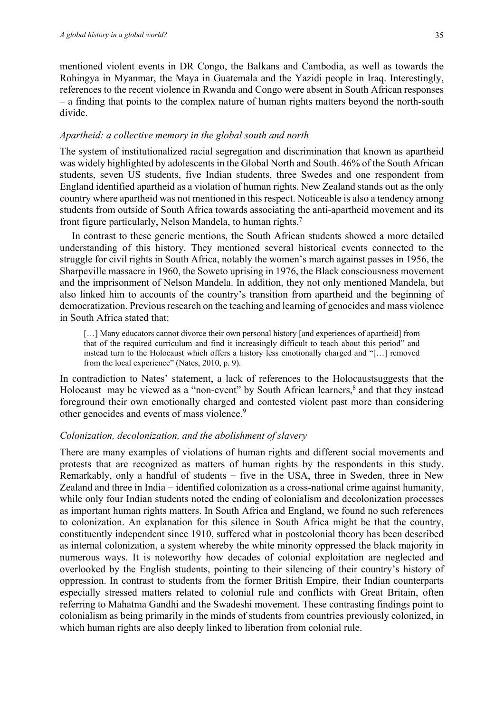mentioned violent events in DR Congo, the Balkans and Cambodia, as well as towards the Rohingya in Myanmar, the Maya in Guatemala and the Yazidi people in Iraq. Interestingly, references to the recent violence in Rwanda and Congo were absent in South African responses – a finding that points to the complex nature of human rights matters beyond the north-south divide.

## *Apartheid: a collective memory in the global south and north*

The system of institutionalized racial segregation and discrimination that known as apartheid was widely highlighted by adolescents in the Global North and South. 46% of the South African students, seven US students, five Indian students, three Swedes and one respondent from England identified apartheid as a violation of human rights. New Zealand stands out as the only country where apartheid was not mentioned in this respect. Noticeable is also a tendency among students from outside of South Africa towards associating the anti-apartheid movement and its front figure particularly, Nelson Mandela, to human rights.7

In contrast to these generic mentions, the South African students showed a more detailed understanding of this history. They mentioned several historical events connected to the struggle for civil rights in South Africa, notably the women's march against passes in 1956, the Sharpeville massacre in 1960, the Soweto uprising in 1976, the Black consciousness movement and the imprisonment of Nelson Mandela. In addition, they not only mentioned Mandela, but also linked him to accounts of the country's transition from apartheid and the beginning of democratization. Previous research on the teaching and learning of genocides and mass violence in South Africa stated that:

[...] Many educators cannot divorce their own personal history [and experiences of apartheid] from that of the required curriculum and find it increasingly difficult to teach about this period" and instead turn to the Holocaust which offers a history less emotionally charged and "[…] removed from the local experience" (Nates, 2010, p. 9).

In contradiction to Nates' statement, a lack of references to the Holocaustsuggests that the Holocaust may be viewed as a "non-event" by South African learners,<sup>8</sup> and that they instead foreground their own emotionally charged and contested violent past more than considering other genocides and events of mass violence.9

## *Colonization, decolonization, and the abolishment of slavery*

There are many examples of violations of human rights and different social movements and protests that are recognized as matters of human rights by the respondents in this study. Remarkably, only a handful of students − five in the USA, three in Sweden, three in New Zealand and three in India − identified colonization as a cross-national crime against humanity, while only four Indian students noted the ending of colonialism and decolonization processes as important human rights matters. In South Africa and England, we found no such references to colonization. An explanation for this silence in South Africa might be that the country, constituently independent since 1910, suffered what in postcolonial theory has been described as internal colonization, a system whereby the white minority oppressed the black majority in numerous ways. It is noteworthy how decades of colonial exploitation are neglected and overlooked by the English students, pointing to their silencing of their country's history of oppression. In contrast to students from the former British Empire, their Indian counterparts especially stressed matters related to colonial rule and conflicts with Great Britain, often referring to Mahatma Gandhi and the Swadeshi movement. These contrasting findings point to colonialism as being primarily in the minds of students from countries previously colonized, in which human rights are also deeply linked to liberation from colonial rule.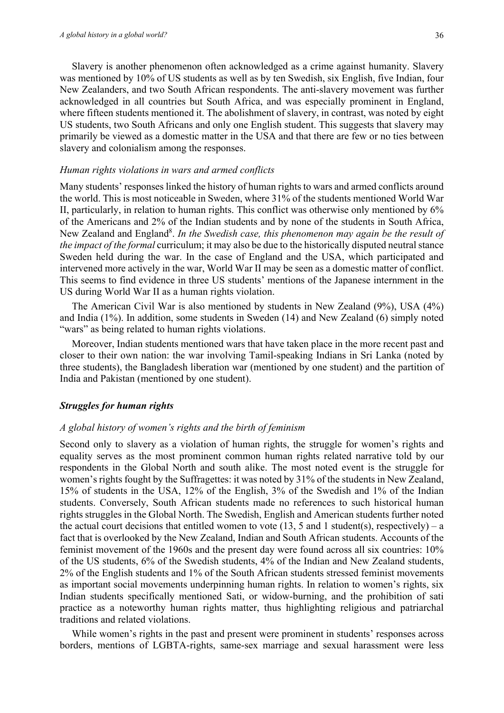Slavery is another phenomenon often acknowledged as a crime against humanity. Slavery was mentioned by 10% of US students as well as by ten Swedish, six English, five Indian, four New Zealanders, and two South African respondents. The anti-slavery movement was further acknowledged in all countries but South Africa, and was especially prominent in England, where fifteen students mentioned it. The abolishment of slavery, in contrast, was noted by eight US students, two South Africans and only one English student. This suggests that slavery may primarily be viewed as a domestic matter in the USA and that there are few or no ties between slavery and colonialism among the responses.

#### *Human rights violations in wars and armed conflicts*

Many students' responses linked the history of human rights to wars and armed conflicts around the world. This is most noticeable in Sweden, where 31% of the students mentioned World War II, particularly, in relation to human rights. This conflict was otherwise only mentioned by 6% of the Americans and 2% of the Indian students and by none of the students in South Africa, New Zealand and England<sup>8</sup>. In the Swedish case, this phenomenon may again be the result of *the impact of the formal* curriculum; it may also be due to the historically disputed neutral stance Sweden held during the war. In the case of England and the USA, which participated and intervened more actively in the war, World War II may be seen as a domestic matter of conflict. This seems to find evidence in three US students' mentions of the Japanese internment in the US during World War II as a human rights violation.

The American Civil War is also mentioned by students in New Zealand (9%), USA (4%) and India (1%). In addition, some students in Sweden (14) and New Zealand (6) simply noted "wars" as being related to human rights violations.

Moreover, Indian students mentioned wars that have taken place in the more recent past and closer to their own nation: the war involving Tamil-speaking Indians in Sri Lanka (noted by three students), the Bangladesh liberation war (mentioned by one student) and the partition of India and Pakistan (mentioned by one student).

#### *Struggles for human rights*

#### *A global history of women's rights and the birth of feminism*

Second only to slavery as a violation of human rights, the struggle for women's rights and equality serves as the most prominent common human rights related narrative told by our respondents in the Global North and south alike. The most noted event is the struggle for women's rights fought by the Suffragettes: it was noted by 31% of the students in New Zealand, 15% of students in the USA, 12% of the English, 3% of the Swedish and 1% of the Indian students. Conversely, South African students made no references to such historical human rights struggles in the Global North. The Swedish, English and American students further noted the actual court decisions that entitled women to vote  $(13, 5 \text{ and } 1 \text{ student(s)},$  respectively) – a fact that is overlooked by the New Zealand, Indian and South African students. Accounts of the feminist movement of the 1960s and the present day were found across all six countries: 10% of the US students, 6% of the Swedish students, 4% of the Indian and New Zealand students, 2% of the English students and 1% of the South African students stressed feminist movements as important social movements underpinning human rights. In relation to women's rights, six Indian students specifically mentioned Sati, or widow-burning, and the prohibition of sati practice as a noteworthy human rights matter, thus highlighting religious and patriarchal traditions and related violations.

While women's rights in the past and present were prominent in students' responses across borders, mentions of LGBTA-rights, same-sex marriage and sexual harassment were less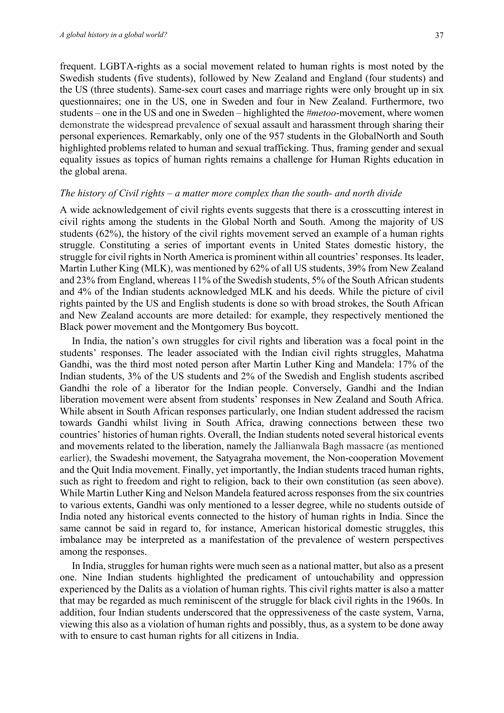frequent. LGBTA-rights as a social movement related to human rights is most noted by the Swedish students (five students), followed by New Zealand and England (four students) and the US (three students). Same-sex court cases and marriage rights were only brought up in six questionnaires; one in the US, one in Sweden and four in New Zealand. Furthermore, two students – one in the US and one in Sweden – highlighted the *#metoo*-movement, where women demonstrate the widespread prevalence of sexual assault and harassment through sharing their personal experiences. Remarkably, only one of the 957 students in the GlobalNorth and South highlighted problems related to human and sexual trafficking. Thus, framing gender and sexual equality issues as topics of human rights remains a challenge for Human Rights education in the global arena.

## *The history of Civil rights – a matter more complex than the south- and north divide*

A wide acknowledgement of civil rights events suggests that there is a crosscutting interest in civil rights among the students in the Global North and South. Among the majority of US students (62%), the history of the civil rights movement served an example of a human rights struggle. Constituting a series of important events in United States domestic history, the struggle for civil rights in North America is prominent within all countries' responses. Its leader, Martin Luther King (MLK), was mentioned by 62% of all US students, 39% from New Zealand and 23% from England, whereas 11% of the Swedish students, 5% of the South African students and 4% of the Indian students acknowledged MLK and his deeds. While the picture of civil rights painted by the US and English students is done so with broad strokes, the South African and New Zealand accounts are more detailed: for example, they respectively mentioned the Black power movement and the Montgomery Bus boycott.

In India, the nation's own struggles for civil rights and liberation was a focal point in the students' responses. The leader associated with the Indian civil rights struggles, Mahatma Gandhi, was the third most noted person after Martin Luther King and Mandela: 17% of the Indian students, 3% of the US students and 2% of the Swedish and English students ascribed Gandhi the role of a liberator for the Indian people. Conversely, Gandhi and the Indian liberation movement were absent from students' responses in New Zealand and South Africa. While absent in South African responses particularly, one Indian student addressed the racism towards Gandhi whilst living in South Africa, drawing connections between these two countries' histories of human rights. Overall, the Indian students noted several historical events and movements related to the liberation, namely the Jallianwala Bagh massacre (as mentioned earlier), the Swadeshi movement, the Satyagraha movement, the Non-cooperation Movement and the Quit India movement. Finally, yet importantly, the Indian students traced human rights, such as right to freedom and right to religion, back to their own constitution (as seen above). While Martin Luther King and Nelson Mandela featured across responses from the six countries to various extents, Gandhi was only mentioned to a lesser degree, while no students outside of India noted any historical events connected to the history of human rights in India. Since the same cannot be said in regard to, for instance, American historical domestic struggles, this imbalance may be interpreted as a manifestation of the prevalence of western perspectives among the responses.

In India, struggles for human rights were much seen as a national matter, but also as a present one. Nine Indian students highlighted the predicament of untouchability and oppression experienced by the Dalits as a violation of human rights. This civil rights matter is also a matter that may be regarded as much reminiscent of the struggle for black civil rights in the 1960s. In addition, four Indian students underscored that the oppressiveness of the caste system, Varna, viewing this also as a violation of human rights and possibly, thus, as a system to be done away with to ensure to cast human rights for all citizens in India.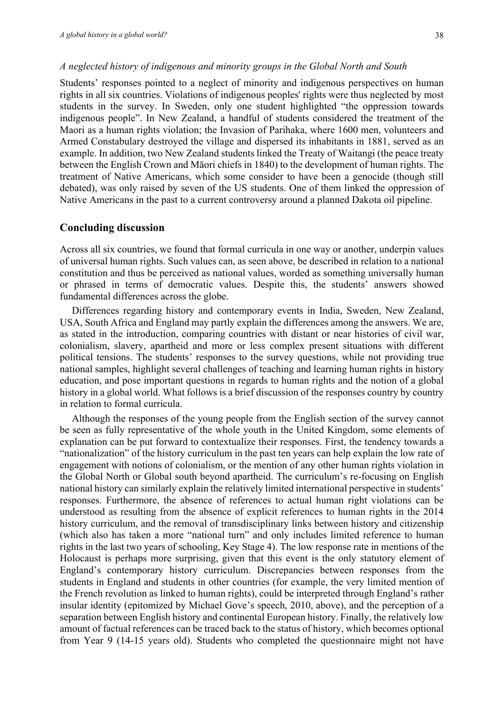Students' responses pointed to a neglect of minority and indigenous perspectives on human rights in all six countries. Violations of indigenous peoples' rights were thus neglected by most students in the survey. In Sweden, only one student highlighted "the oppression towards indigenous people". In New Zealand, a handful of students considered the treatment of the Maori as a human rights violation; the Invasion of Parihaka, where 1600 men, volunteers and Armed Constabulary destroyed the village and dispersed its inhabitants in 1881, served as an example. In addition, two New Zealand students linked the Treaty of Waitangi (the peace treaty between the English Crown and Māori chiefs in 1840) to the development of human rights. The treatment of Native Americans, which some consider to have been a genocide (though still debated), was only raised by seven of the US students. One of them linked the oppression of Native Americans in the past to a current controversy around a planned Dakota oil pipeline.

## **Concluding discussion**

Across all six countries, we found that formal curricula in one way or another, underpin values of universal human rights. Such values can, as seen above, be described in relation to a national constitution and thus be perceived as national values, worded as something universally human or phrased in terms of democratic values. Despite this, the students' answers showed fundamental differences across the globe.

Differences regarding history and contemporary events in India, Sweden, New Zealand, USA, South Africa and England may partly explain the differences among the answers. We are, as stated in the introduction, comparing countries with distant or near histories of civil war, colonialism, slavery, apartheid and more or less complex present situations with different political tensions. The students' responses to the survey questions, while not providing true national samples, highlight several challenges of teaching and learning human rights in history education, and pose important questions in regards to human rights and the notion of a global history in a global world. What follows is a brief discussion of the responses country by country in relation to formal curricula.

Although the responses of the young people from the English section of the survey cannot be seen as fully representative of the whole youth in the United Kingdom, some elements of explanation can be put forward to contextualize their responses. First, the tendency towards a "nationalization" of the history curriculum in the past ten years can help explain the low rate of engagement with notions of colonialism, or the mention of any other human rights violation in the Global North or Global south beyond apartheid. The curriculum's re-focusing on English national history can similarly explain the relatively limited international perspective in students' responses. Furthermore, the absence of references to actual human right violations can be understood as resulting from the absence of explicit references to human rights in the 2014 history curriculum, and the removal of transdisciplinary links between history and citizenship (which also has taken a more "national turn" and only includes limited reference to human rights in the last two years of schooling, Key Stage 4). The low response rate in mentions of the Holocaust is perhaps more surprising, given that this event is the only statutory element of England's contemporary history curriculum. Discrepancies between responses from the students in England and students in other countries (for example, the very limited mention of the French revolution as linked to human rights), could be interpreted through England's rather insular identity (epitomized by Michael Gove's speech, 2010, above), and the perception of a separation between English history and continental European history. Finally, the relatively low amount of factual references can be traced back to the status of history, which becomes optional from Year 9 (14-15 years old). Students who completed the questionnaire might not have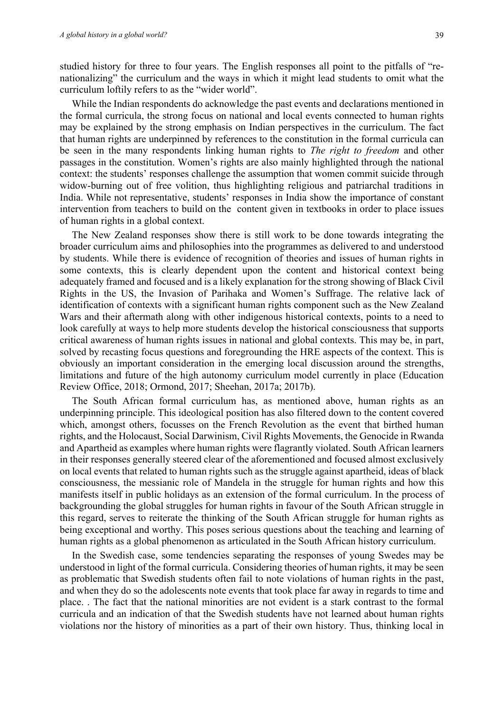studied history for three to four years. The English responses all point to the pitfalls of "renationalizing" the curriculum and the ways in which it might lead students to omit what the curriculum loftily refers to as the "wider world".

While the Indian respondents do acknowledge the past events and declarations mentioned in the formal curricula, the strong focus on national and local events connected to human rights may be explained by the strong emphasis on Indian perspectives in the curriculum. The fact that human rights are underpinned by references to the constitution in the formal curricula can be seen in the many respondents linking human rights to *The right to freedom* and other passages in the constitution. Women's rights are also mainly highlighted through the national context: the students' responses challenge the assumption that women commit suicide through widow-burning out of free volition, thus highlighting religious and patriarchal traditions in India. While not representative, students' responses in India show the importance of constant intervention from teachers to build on the content given in textbooks in order to place issues of human rights in a global context.

The New Zealand responses show there is still work to be done towards integrating the broader curriculum aims and philosophies into the programmes as delivered to and understood by students. While there is evidence of recognition of theories and issues of human rights in some contexts, this is clearly dependent upon the content and historical context being adequately framed and focused and is a likely explanation for the strong showing of Black Civil Rights in the US, the Invasion of Parihaka and Women's Suffrage. The relative lack of identification of contexts with a significant human rights component such as the New Zealand Wars and their aftermath along with other indigenous historical contexts, points to a need to look carefully at ways to help more students develop the historical consciousness that supports critical awareness of human rights issues in national and global contexts. This may be, in part, solved by recasting focus questions and foregrounding the HRE aspects of the context. This is obviously an important consideration in the emerging local discussion around the strengths, limitations and future of the high autonomy curriculum model currently in place (Education Review Office, 2018; Ormond, 2017; Sheehan, 2017a; 2017b).

The South African formal curriculum has, as mentioned above, human rights as an underpinning principle. This ideological position has also filtered down to the content covered which, amongst others, focusses on the French Revolution as the event that birthed human rights, and the Holocaust, Social Darwinism, Civil Rights Movements, the Genocide in Rwanda and Apartheid as examples where human rights were flagrantly violated. South African learners in their responses generally steered clear of the aforementioned and focused almost exclusively on local events that related to human rights such as the struggle against apartheid, ideas of black consciousness, the messianic role of Mandela in the struggle for human rights and how this manifests itself in public holidays as an extension of the formal curriculum. In the process of backgrounding the global struggles for human rights in favour of the South African struggle in this regard, serves to reiterate the thinking of the South African struggle for human rights as being exceptional and worthy. This poses serious questions about the teaching and learning of human rights as a global phenomenon as articulated in the South African history curriculum.

In the Swedish case, some tendencies separating the responses of young Swedes may be understood in light of the formal curricula. Considering theories of human rights, it may be seen as problematic that Swedish students often fail to note violations of human rights in the past, and when they do so the adolescents note events that took place far away in regards to time and place. . The fact that the national minorities are not evident is a stark contrast to the formal curricula and an indication of that the Swedish students have not learned about human rights violations nor the history of minorities as a part of their own history. Thus, thinking local in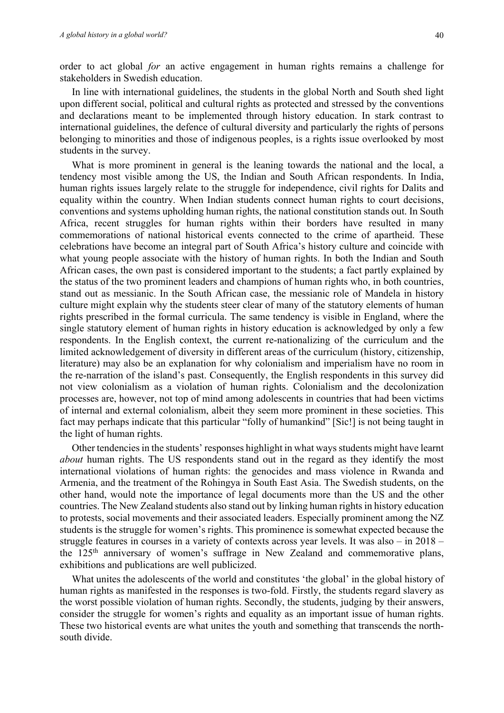order to act global *for* an active engagement in human rights remains a challenge for stakeholders in Swedish education.

In line with international guidelines, the students in the global North and South shed light upon different social, political and cultural rights as protected and stressed by the conventions and declarations meant to be implemented through history education. In stark contrast to international guidelines, the defence of cultural diversity and particularly the rights of persons belonging to minorities and those of indigenous peoples, is a rights issue overlooked by most students in the survey.

What is more prominent in general is the leaning towards the national and the local, a tendency most visible among the US, the Indian and South African respondents. In India, human rights issues largely relate to the struggle for independence, civil rights for Dalits and equality within the country. When Indian students connect human rights to court decisions, conventions and systems upholding human rights, the national constitution stands out. In South Africa, recent struggles for human rights within their borders have resulted in many commemorations of national historical events connected to the crime of apartheid. These celebrations have become an integral part of South Africa's history culture and coincide with what young people associate with the history of human rights. In both the Indian and South African cases, the own past is considered important to the students; a fact partly explained by the status of the two prominent leaders and champions of human rights who, in both countries, stand out as messianic. In the South African case, the messianic role of Mandela in history culture might explain why the students steer clear of many of the statutory elements of human rights prescribed in the formal curricula. The same tendency is visible in England, where the single statutory element of human rights in history education is acknowledged by only a few respondents. In the English context, the current re-nationalizing of the curriculum and the limited acknowledgement of diversity in different areas of the curriculum (history, citizenship, literature) may also be an explanation for why colonialism and imperialism have no room in the re-narration of the island's past. Consequently, the English respondents in this survey did not view colonialism as a violation of human rights. Colonialism and the decolonization processes are, however, not top of mind among adolescents in countries that had been victims of internal and external colonialism, albeit they seem more prominent in these societies. This fact may perhaps indicate that this particular "folly of humankind" [Sic!] is not being taught in the light of human rights.

Other tendencies in the students' responses highlight in what ways students might have learnt *about* human rights. The US respondents stand out in the regard as they identify the most international violations of human rights: the genocides and mass violence in Rwanda and Armenia, and the treatment of the Rohingya in South East Asia. The Swedish students, on the other hand, would note the importance of legal documents more than the US and the other countries. The New Zealand students also stand out by linking human rights in history education to protests, social movements and their associated leaders. Especially prominent among the NZ students is the struggle for women's rights. This prominence is somewhat expected because the struggle features in courses in a variety of contexts across year levels. It was also – in 2018 – the 125th anniversary of women's suffrage in New Zealand and commemorative plans, exhibitions and publications are well publicized.

What unites the adolescents of the world and constitutes 'the global' in the global history of human rights as manifested in the responses is two-fold. Firstly, the students regard slavery as the worst possible violation of human rights. Secondly, the students, judging by their answers, consider the struggle for women's rights and equality as an important issue of human rights. These two historical events are what unites the youth and something that transcends the northsouth divide.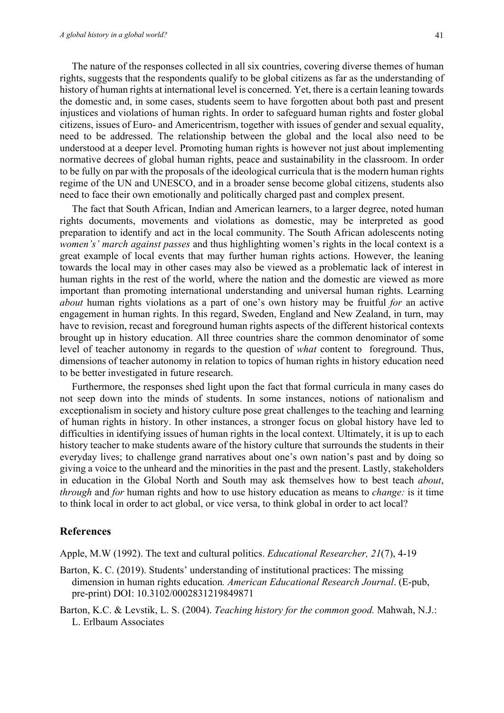The nature of the responses collected in all six countries, covering diverse themes of human rights, suggests that the respondents qualify to be global citizens as far as the understanding of history of human rights at international level is concerned. Yet, there is a certain leaning towards the domestic and, in some cases, students seem to have forgotten about both past and present injustices and violations of human rights. In order to safeguard human rights and foster global citizens, issues of Euro- and Americentrism, together with issues of gender and sexual equality, need to be addressed. The relationship between the global and the local also need to be understood at a deeper level. Promoting human rights is however not just about implementing normative decrees of global human rights, peace and sustainability in the classroom. In order to be fully on par with the proposals of the ideological curricula that is the modern human rights regime of the UN and UNESCO, and in a broader sense become global citizens, students also need to face their own emotionally and politically charged past and complex present.

The fact that South African, Indian and American learners, to a larger degree, noted human rights documents, movements and violations as domestic, may be interpreted as good preparation to identify and act in the local community. The South African adolescents noting *women's' march against passes* and thus highlighting women's rights in the local context is a great example of local events that may further human rights actions. However, the leaning towards the local may in other cases may also be viewed as a problematic lack of interest in human rights in the rest of the world, where the nation and the domestic are viewed as more important than promoting international understanding and universal human rights. Learning *about* human rights violations as a part of one's own history may be fruitful *for* an active engagement in human rights. In this regard, Sweden, England and New Zealand, in turn, may have to revision, recast and foreground human rights aspects of the different historical contexts brought up in history education. All three countries share the common denominator of some level of teacher autonomy in regards to the question of *what* content to foreground. Thus, dimensions of teacher autonomy in relation to topics of human rights in history education need to be better investigated in future research.

Furthermore, the responses shed light upon the fact that formal curricula in many cases do not seep down into the minds of students. In some instances, notions of nationalism and exceptionalism in society and history culture pose great challenges to the teaching and learning of human rights in history. In other instances, a stronger focus on global history have led to difficulties in identifying issues of human rights in the local context. Ultimately, it is up to each history teacher to make students aware of the history culture that surrounds the students in their everyday lives; to challenge grand narratives about one's own nation's past and by doing so giving a voice to the unheard and the minorities in the past and the present. Lastly, stakeholders in education in the Global North and South may ask themselves how to best teach *about*, *through* and *for* human rights and how to use history education as means to *change:* is it time to think local in order to act global, or vice versa, to think global in order to act local?

## **References**

Apple, M.W (1992). The text and cultural politics. *Educational Researcher, 21*(7), 4-19

- Barton, K. C. (2019). Students' understanding of institutional practices: The missing dimension in human rights education*. American Educational Research Journal*. (E-pub, pre-print) DOI: 10.3102/0002831219849871
- Barton, K.C. & Levstik, L. S. (2004). *Teaching history for the common good.* Mahwah, N.J.: L. Erlbaum Associates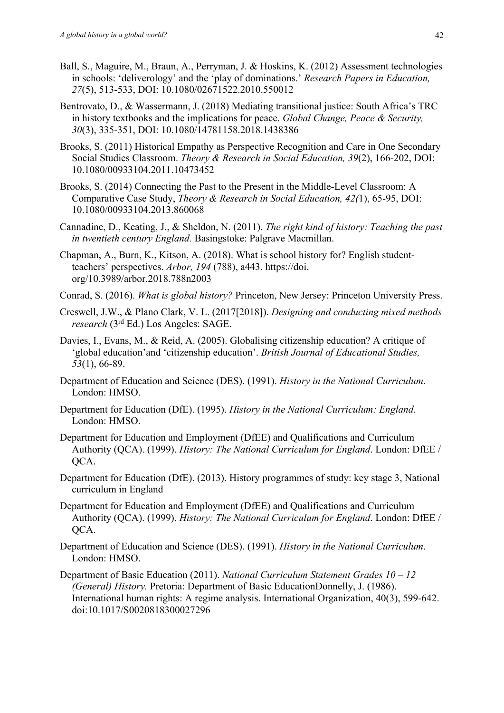- Ball, S., Maguire, M., Braun, A., Perryman, J. & Hoskins, K. (2012) Assessment technologies in schools: 'deliverology' and the 'play of dominations.' *Research Papers in Education, 27*(5), 513-533, DOI: 10.1080/02671522.2010.550012
- Bentrovato, D., & Wassermann, J. (2018) Mediating transitional justice: South Africa's TRC in history textbooks and the implications for peace. *Global Change, Peace & Security, 30*(3), 335-351, DOI: 10.1080/14781158.2018.1438386
- Brooks, S. (2011) Historical Empathy as Perspective Recognition and Care in One Secondary Social Studies Classroom. *Theory & Research in Social Education, 39*(2), 166-202, DOI: 10.1080/00933104.2011.10473452
- Brooks, S. (2014) Connecting the Past to the Present in the Middle-Level Classroom: A Comparative Case Study, *Theory & Research in Social Education, 42(*1), 65-95, DOI: 10.1080/00933104.2013.860068
- Cannadine, D., Keating, J., & Sheldon, N. (2011). *The right kind of history: Teaching the past in twentieth century England.* Basingstoke: Palgrave Macmillan.
- Chapman, A., Burn, K., Kitson, A. (2018). What is school history for? English studentteachers' perspectives. *Arbor, 194* (788), a443. https://doi. org/10.3989/arbor.2018.788n2003
- Conrad, S. (2016). *What is global history?* Princeton, New Jersey: Princeton University Press.
- Creswell, J.W., & Plano Clark, V. L. (2017[2018]). *Designing and conducting mixed methods research* (3rd Ed.) Los Angeles: SAGE.
- Davies, I., Evans, M., & Reid, A. (2005). Globalising citizenship education? A critique of 'global education'and 'citizenship education'. *British Journal of Educational Studies, 53*(1), 66-89.
- Department of Education and Science (DES). (1991). *History in the National Curriculum*. London: HMSO.
- Department for Education (DfE). (1995). *History in the National Curriculum: England.* London: HMSO.
- Department for Education and Employment (DfEE) and Qualifications and Curriculum Authority (QCA). (1999). *History: The National Curriculum for England*. London: DfEE / OCA.
- Department for Education (DfE). (2013). History programmes of study: key stage 3, National curriculum in England
- Department for Education and Employment (DfEE) and Qualifications and Curriculum Authority (QCA). (1999). *History: The National Curriculum for England*. London: DfEE / QCA.
- Department of Education and Science (DES). (1991). *History in the National Curriculum*. London: HMSO.
- Department of Basic Education (2011). *National Curriculum Statement Grades 10 – 12 (General) History.* Pretoria: Department of Basic EducationDonnelly, J. (1986). International human rights: A regime analysis. International Organization, 40(3), 599-642. doi:10.1017/S0020818300027296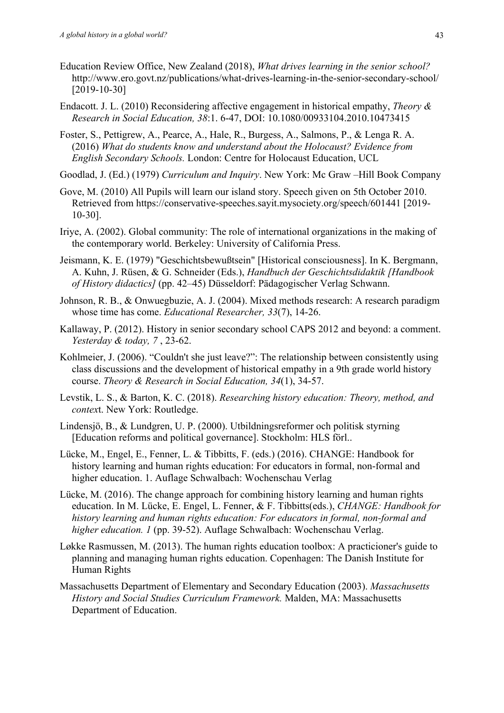- Education Review Office, New Zealand (2018), *What drives learning in the senior school?* http://www.ero.govt.nz/publications/what-drives-learning-in-the-senior-secondary-school/ [2019-10-30]
- Endacott. J. L. (2010) Reconsidering affective engagement in historical empathy, *Theory & Research in Social Education, 38*:1. 6-47, DOI: 10.1080/00933104.2010.10473415
- Foster, S., Pettigrew, A., Pearce, A., Hale, R., Burgess, A., Salmons, P., & Lenga R. A. (2016) *What do students know and understand about the Holocaust? Evidence from English Secondary Schools.* London: Centre for Holocaust Education, UCL
- Goodlad, J. (Ed.) (1979) *Curriculum and Inquiry*. New York: Mc Graw –Hill Book Company
- Gove, M. (2010) All Pupils will learn our island story. Speech given on 5th October 2010. Retrieved from https://conservative-speeches.sayit.mysociety.org/speech/601441 [2019- 10-30].
- Iriye, A. (2002). Global community: The role of international organizations in the making of the contemporary world. Berkeley: University of California Press.
- Jeismann, K. E. (1979) "Geschichtsbewußtsein" [Historical consciousness]. In K. Bergmann, A. Kuhn, J. Rüsen, & G. Schneider (Eds.), *Handbuch der Geschichtsdidaktik [Handbook of History didactics]* (pp. 42–45) Düsseldorf: Pädagogischer Verlag Schwann.
- Johnson, R. B., & Onwuegbuzie, A. J. (2004). Mixed methods research: A research paradigm whose time has come. *Educational Researcher, 33*(7), 14-26.
- Kallaway, P. (2012). History in senior secondary school CAPS 2012 and beyond: a comment. *Yesterday & today, 7* , 23-62.
- Kohlmeier, J. (2006). "Couldn't she just leave?": The relationship between consistently using class discussions and the development of historical empathy in a 9th grade world history course. *Theory & Research in Social Education, 34*(1), 34-57.
- Levstik, L. S., & Barton, K. C. (2018). *Researching history education: Theory, method, and contex*t. New York: Routledge.
- Lindensjö, B., & Lundgren, U. P. (2000). Utbildningsreformer och politisk styrning [Education reforms and political governance]. Stockholm: HLS förl..
- Lücke, M., Engel, E., Fenner, L. & Tibbitts, F. (eds.) (2016). CHANGE: Handbook for history learning and human rights education: For educators in formal, non-formal and higher education. 1. Auflage Schwalbach: Wochenschau Verlag
- Lücke, M. (2016). The change approach for combining history learning and human rights education. In M. Lücke, E. Engel, L. Fenner, & F. Tibbitts(eds.), *CHANGE: Handbook for history learning and human rights education: For educators in formal, non-formal and higher education. 1* (pp. 39-52). Auflage Schwalbach: Wochenschau Verlag.
- Løkke Rasmussen, M. (2013). The human rights education toolbox: A practicioner's guide to planning and managing human rights education. Copenhagen: The Danish Institute for Human Rights
- Massachusetts Department of Elementary and Secondary Education (2003). *Massachusetts History and Social Studies Curriculum Framework.* Malden, MA: Massachusetts Department of Education.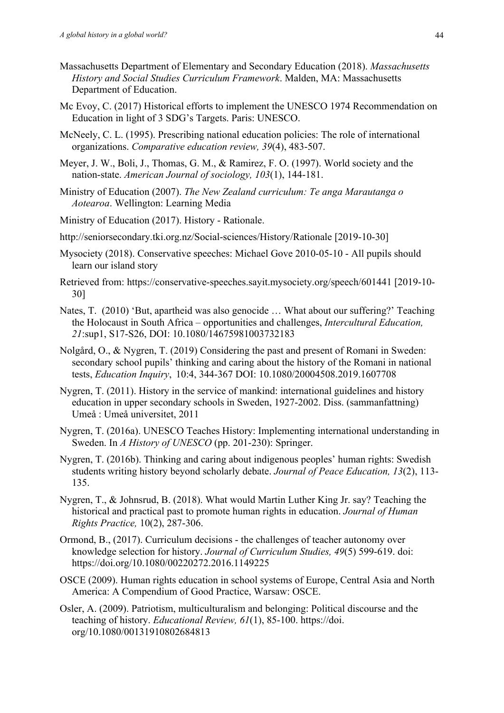- Massachusetts Department of Elementary and Secondary Education (2018). *Massachusetts History and Social Studies Curriculum Framework*. Malden, MA: Massachusetts Department of Education.
- Mc Evoy, C. (2017) Historical efforts to implement the UNESCO 1974 Recommendation on Education in light of 3 SDG's Targets. Paris: UNESCO.
- McNeely, C. L. (1995). Prescribing national education policies: The role of international organizations. *Comparative education review, 39*(4), 483-507.
- Meyer, J. W., Boli, J., Thomas, G. M., & Ramirez, F. O. (1997). World society and the nation-state. *American Journal of sociology, 103*(1), 144-181.
- Ministry of Education (2007). *The New Zealand curriculum: Te anga Marautanga o Aotearoa*. Wellington: Learning Media
- Ministry of Education (2017). History Rationale.
- http://seniorsecondary.tki.org.nz/Social-sciences/History/Rationale [2019-10-30]
- Mysociety (2018). Conservative speeches: Michael Gove 2010-05-10 All pupils should learn our island story
- Retrieved from: https://conservative-speeches.sayit.mysociety.org/speech/601441 [2019-10- 30]
- Nates, T. (2010) 'But, apartheid was also genocide … What about our suffering?' Teaching the Holocaust in South Africa – opportunities and challenges, *Intercultural Education, 21*:sup1, S17-S26, DOI: 10.1080/14675981003732183
- Nolgård, O., & Nygren, T. (2019) Considering the past and present of Romani in Sweden: secondary school pupils' thinking and caring about the history of the Romani in national tests, *Education Inquiry*, 10:4, 344-367 DOI: 10.1080/20004508.2019.1607708
- Nygren, T. (2011). History in the service of mankind: international guidelines and history education in upper secondary schools in Sweden, 1927-2002. Diss. (sammanfattning) Umeå : Umeå universitet, 2011
- Nygren, T. (2016a). UNESCO Teaches History: Implementing international understanding in Sweden. In *A History of UNESCO* (pp. 201-230): Springer.
- Nygren, T. (2016b). Thinking and caring about indigenous peoples' human rights: Swedish students writing history beyond scholarly debate. *Journal of Peace Education, 13*(2), 113- 135.
- Nygren, T., & Johnsrud, B. (2018). What would Martin Luther King Jr. say? Teaching the historical and practical past to promote human rights in education. *Journal of Human Rights Practice,* 10(2), 287-306.
- Ormond, B., (2017). Curriculum decisions the challenges of teacher autonomy over knowledge selection for history. *Journal of Curriculum Studies, 49*(5) 599-619. doi: https://doi.org/10.1080/00220272.2016.1149225
- OSCE (2009). Human rights education in school systems of Europe, Central Asia and North America: A Compendium of Good Practice, Warsaw: OSCE.
- Osler, A. (2009). Patriotism, multiculturalism and belonging: Political discourse and the teaching of history. *Educational Review, 61*(1), 85-100. https://doi. org/10.1080/00131910802684813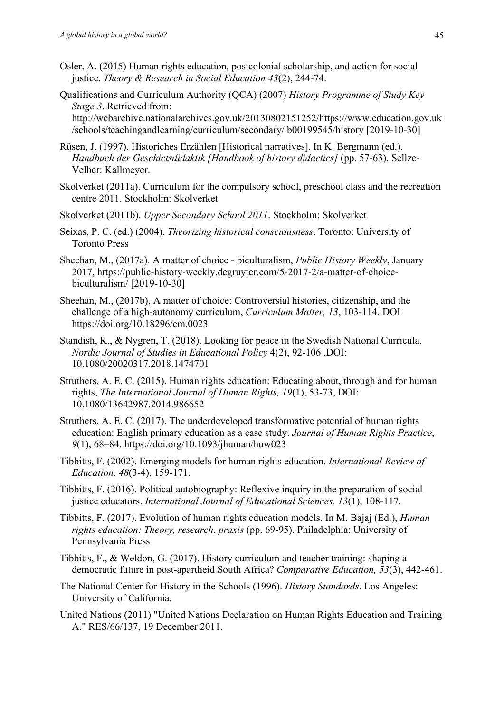- Osler, A. (2015) Human rights education, postcolonial scholarship, and action for social justice. *Theory & Research in Social Education 43*(2), 244-74.
- Qualifications and Curriculum Authority (QCA) (2007) *History Programme of Study Key Stage 3*. Retrieved from:

http://webarchive.nationalarchives.gov.uk/20130802151252/https://www.education.gov.uk /schools/teachingandlearning/curriculum/secondary/ b00199545/history [2019-10-30]

- Rüsen, J. (1997). Historiches Erzählen [Historical narratives]. In K. Bergmann (ed.). *Handbuch der Geschictsdidaktik [Handbook of history didactics]* (pp. 57-63). Sellze-Velber: Kallmeyer.
- Skolverket (2011a). Curriculum for the compulsory school, preschool class and the recreation centre 2011. Stockholm: Skolverket
- Skolverket (2011b). *Upper Secondary School 2011*. Stockholm: Skolverket
- Seixas, P. C. (ed.) (2004). *Theorizing historical consciousness*. Toronto: University of Toronto Press
- Sheehan, M., (2017a). A matter of choice biculturalism, *Public History Weekly*, January 2017, https://public-history-weekly.degruyter.com/5-2017-2/a-matter-of-choicebiculturalism/ [2019-10-30]
- Sheehan, M., (2017b), A matter of choice: Controversial histories, citizenship, and the challenge of a high-autonomy curriculum, *Curriculum Matter, 13*, 103-114. DOI https://doi.org/10.18296/cm.0023
- Standish, K., & Nygren, T. (2018). Looking for peace in the Swedish National Curricula. *Nordic Journal of Studies in Educational Policy* 4(2), 92-106 .DOI: 10.1080/20020317.2018.1474701
- Struthers, A. E. C. (2015). Human rights education: Educating about, through and for human rights, *The International Journal of Human Rights, 19*(1), 53-73, DOI: 10.1080/13642987.2014.986652
- Struthers, A. E. C. (2017). The underdeveloped transformative potential of human rights education: English primary education as a case study. *Journal of Human Rights Practice*, *9*(1), 68–84. https://doi.org/10.1093/jhuman/huw023
- Tibbitts, F. (2002). Emerging models for human rights education. *International Review of Education, 48*(3-4), 159-171.
- Tibbitts, F. (2016). Political autobiography: Reflexive inquiry in the preparation of social justice educators. *International Journal of Educational Sciences. 13*(1), 108-117.
- Tibbitts, F. (2017). Evolution of human rights education models. In M. Bajaj (Ed.), *Human rights education: Theory, research, praxis* (pp. 69-95). Philadelphia: University of Pennsylvania Press
- Tibbitts, F., & Weldon, G. (2017). History curriculum and teacher training: shaping a democratic future in post-apartheid South Africa? *Comparative Education, 53*(3), 442-461.
- The National Center for History in the Schools (1996). *History Standards*. Los Angeles: University of California.
- United Nations (2011) "United Nations Declaration on Human Rights Education and Training A." RES/66/137, 19 December 2011.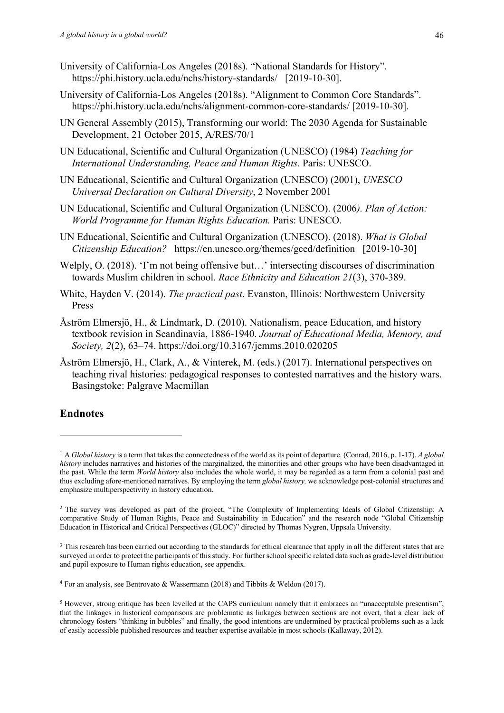- University of California-Los Angeles (2018s). "National Standards for History". https://phi.history.ucla.edu/nchs/history-standards/ [2019-10-30].
- University of California-Los Angeles (2018s). "Alignment to Common Core Standards". https://phi.history.ucla.edu/nchs/alignment-common-core-standards/ [2019-10-30].
- UN General Assembly (2015), Transforming our world: The 2030 Agenda for Sustainable Development, 21 October 2015, A/RES/70/1
- UN Educational, Scientific and Cultural Organization (UNESCO) (1984) *Teaching for International Understanding, Peace and Human Rights*. Paris: UNESCO.
- UN Educational, Scientific and Cultural Organization (UNESCO) (2001), *UNESCO Universal Declaration on Cultural Diversity*, 2 November 2001
- UN Educational, Scientific and Cultural Organization (UNESCO). (2006*). Plan of Action: World Programme for Human Rights Education.* Paris: UNESCO.
- UN Educational, Scientific and Cultural Organization (UNESCO). (2018). *What is Global Citizenship Education?* https://en.unesco.org/themes/gced/definition [2019-10-30]
- Welply, O. (2018). 'I'm not being offensive but...' intersecting discourses of discrimination towards Muslim children in school. *Race Ethnicity and Education 21*(3), 370-389.
- White, Hayden V. (2014). *The practical past*. Evanston, Illinois: Northwestern University Press
- Åström Elmersjö, H., & Lindmark, D. (2010). Nationalism, peace Education, and history textbook revision in Scandinavia, 1886-1940. *Journal of Educational Media, Memory, and Society, 2*(2), 63–74. https://doi.org/10.3167/jemms.2010.020205
- Åström Elmersjö, H., Clark, A., & Vinterek, M. (eds.) (2017). International perspectives on teaching rival histories: pedagogical responses to contested narratives and the history wars. Basingstoke: Palgrave Macmillan

## **Endnotes**

<sup>1</sup> A *Global history* is a term that takes the connectedness of the world as its point of departure. (Conrad, 2016, p. 1-17). *A global history* includes narratives and histories of the marginalized, the minorities and other groups who have been disadvantaged in the past. While the term *World history* also includes the whole world, it may be regarded as a term from a colonial past and thus excluding afore-mentioned narratives. By employing the term *global history,* we acknowledge post-colonial structures and emphasize multiperspectivity in history education.

<sup>&</sup>lt;sup>2</sup> The survey was developed as part of the project, "The Complexity of Implementing Ideals of Global Citizenship: A comparative Study of Human Rights, Peace and Sustainability in Education" and the research node "Global Citizenship Education in Historical and Critical Perspectives (GLOC)" directed by Thomas Nygren, Uppsala University.

<sup>&</sup>lt;sup>3</sup> This research has been carried out according to the standards for ethical clearance that apply in all the different states that are surveyed in order to protect the participants of this study. For further school specific related data such as grade-level distribution and pupil exposure to Human rights education, see appendix.

<sup>4</sup> For an analysis, see Bentrovato & Wassermann (2018) and Tibbits & Weldon (2017).

<sup>5</sup> However, strong critique has been levelled at the CAPS curriculum namely that it embraces an "unacceptable presentism", that the linkages in historical comparisons are problematic as linkages between sections are not overt, that a clear lack of chronology fosters "thinking in bubbles" and finally, the good intentions are undermined by practical problems such as a lack of easily accessible published resources and teacher expertise available in most schools (Kallaway, 2012).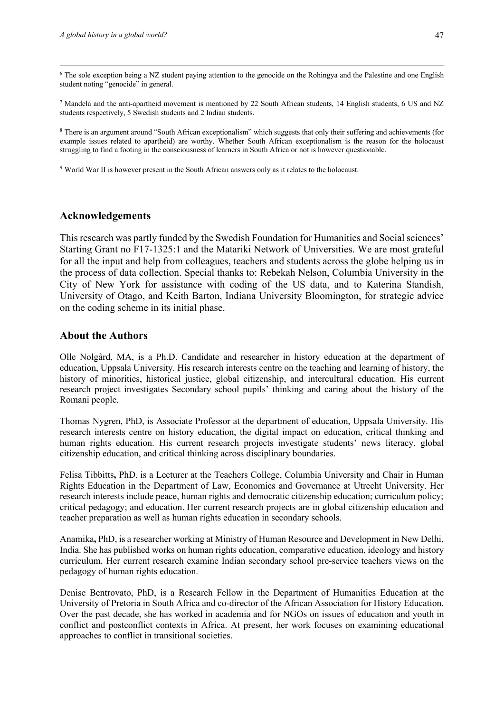<sup>6</sup> The sole exception being a NZ student paying attention to the genocide on the Rohingya and the Palestine and one English student noting "genocide" in general.

<sup>7</sup> Mandela and the anti-apartheid movement is mentioned by 22 South African students, 14 English students, 6 US and NZ students respectively, 5 Swedish students and 2 Indian students.

<sup>8</sup> There is an argument around "South African exceptionalism" which suggests that only their suffering and achievements (for example issues related to apartheid) are worthy. Whether South African exceptionalism is the reason for the holocaust struggling to find a footing in the consciousness of learners in South Africa or not is however questionable.

<sup>9</sup> World War II is however present in the South African answers only as it relates to the holocaust.

## **Acknowledgements**

This research was partly funded by the Swedish Foundation for Humanities and Social sciences' Starting Grant no F17-1325:1 and the Matariki Network of Universities. We are most grateful for all the input and help from colleagues, teachers and students across the globe helping us in the process of data collection. Special thanks to: Rebekah Nelson, Columbia University in the City of New York for assistance with coding of the US data, and to Katerina Standish, University of Otago, and Keith Barton, Indiana University Bloomington, for strategic advice on the coding scheme in its initial phase.

## **About the Authors**

Olle Nolgård, MA, is a Ph.D. Candidate and researcher in history education at the department of education, Uppsala University. His research interests centre on the teaching and learning of history, the history of minorities, historical justice, global citizenship, and intercultural education. His current research project investigates Secondary school pupils' thinking and caring about the history of the Romani people.

Thomas Nygren, PhD, is Associate Professor at the department of education, Uppsala University. His research interests centre on history education, the digital impact on education, critical thinking and human rights education. His current research projects investigate students' news literacy, global citizenship education, and critical thinking across disciplinary boundaries.

Felisa Tibbitts**,** PhD, is a Lecturer at the Teachers College, Columbia University and Chair in Human Rights Education in the Department of Law, Economics and Governance at Utrecht University. Her research interests include peace, human rights and democratic citizenship education; curriculum policy; critical pedagogy; and education. Her current research projects are in global citizenship education and teacher preparation as well as human rights education in secondary schools.

Anamika**,** PhD, is a researcher working at Ministry of Human Resource and Development in New Delhi, India. She has published works on human rights education, comparative education, ideology and history curriculum. Her current research examine Indian secondary school pre-service teachers views on the pedagogy of human rights education.

Denise Bentrovato, PhD, is a Research Fellow in the Department of Humanities Education at the University of Pretoria in South Africa and co-director of the African Association for History Education. Over the past decade, she has worked in academia and for NGOs on issues of education and youth in conflict and postconflict contexts in Africa. At present, her work focuses on examining educational approaches to conflict in transitional societies.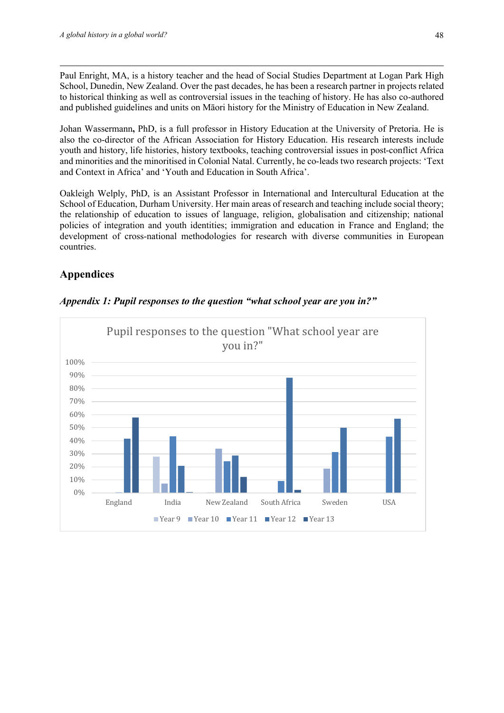Paul Enright, MA, is a history teacher and the head of Social Studies Department at Logan Park High School, Dunedin, New Zealand. Over the past decades, he has been a research partner in projects related to historical thinking as well as controversial issues in the teaching of history. He has also co-authored and published guidelines and units on Māori history for the Ministry of Education in New Zealand.

Johan Wassermann**,** PhD, is a full professor in History Education at the University of Pretoria. He is also the co-director of the African Association for History Education. His research interests include youth and history, life histories, history textbooks, teaching controversial issues in post-conflict Africa and minorities and the minoritised in Colonial Natal. Currently, he co-leads two research projects: 'Text and Context in Africa' and 'Youth and Education in South Africa'.

Oakleigh Welply, PhD, is an Assistant Professor in International and Intercultural Education at the School of Education, Durham University. Her main areas of research and teaching include social theory; the relationship of education to issues of language, religion, globalisation and citizenship; national policies of integration and youth identities; immigration and education in France and England; the development of cross-national methodologies for research with diverse communities in European countries.

## **Appendices**



## *Appendix 1: Pupil responses to the question "what school year are you in?"*